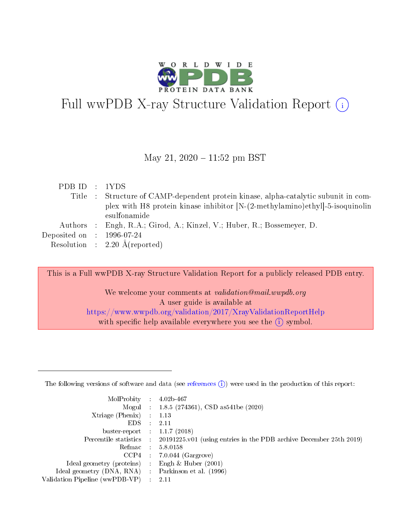

# Full wwPDB X-ray Structure Validation Report  $(i)$

### May 21,  $2020 - 11:52$  pm BST

| PDBID : 1YDS                         |                                                                                     |
|--------------------------------------|-------------------------------------------------------------------------------------|
|                                      | Title : Structure of CAMP-dependent protein kinase, alpha-catalytic subunit in com- |
|                                      | plex with H8 protein kinase inhibitor $[N-(2-methy)1]$ -5-isoquinolin               |
|                                      | esulfonamide                                                                        |
|                                      | Authors : Engh, R.A.; Girod, A.; Kinzel, V.; Huber, R.; Bossemeyer, D.              |
| Deposited on $\therefore$ 1996-07-24 |                                                                                     |
|                                      | Resolution : $2.20 \text{ Å}$ (reported)                                            |

This is a Full wwPDB X-ray Structure Validation Report for a publicly released PDB entry. We welcome your comments at validation@mail.wwpdb.org A user guide is available at <https://www.wwpdb.org/validation/2017/XrayValidationReportHelp>

with specific help available everywhere you see the  $(i)$  symbol.

The following versions of software and data (see [references](https://www.wwpdb.org/validation/2017/XrayValidationReportHelp#references)  $(1)$ ) were used in the production of this report:

| MolProbity :                   |               | $4.02b - 467$                                                               |
|--------------------------------|---------------|-----------------------------------------------------------------------------|
|                                |               | Mogul : $1.8.5$ (274361), CSD as 541be (2020)                               |
| Xtriage (Phenix)               | $\mathcal{L}$ | 1.13                                                                        |
| EDS.                           |               | 2.11                                                                        |
| buster-report : $1.1.7$ (2018) |               |                                                                             |
| Percentile statistics :        |               | $20191225 \text{v}01$ (using entries in the PDB archive December 25th 2019) |
| Refmac :                       |               | 5.8.0158                                                                    |
| CCP4                           |               | $7.0.044$ (Gargrove)                                                        |
| Ideal geometry (proteins) :    |               | Engh $\&$ Huber (2001)                                                      |
| Ideal geometry (DNA, RNA) :    |               | Parkinson et al. (1996)                                                     |
| Validation Pipeline (wwPDB-VP) | $\mathcal{L}$ | 2.11                                                                        |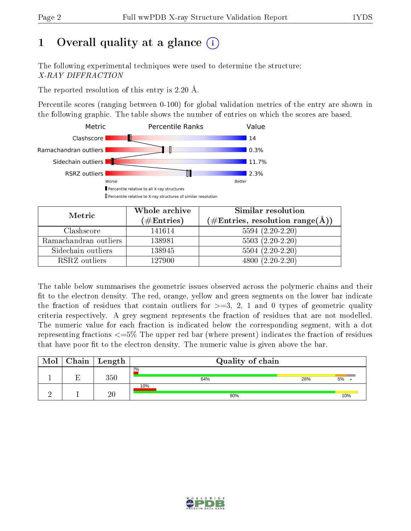# 1 [O](https://www.wwpdb.org/validation/2017/XrayValidationReportHelp#overall_quality)verall quality at a glance  $(i)$

The following experimental techniques were used to determine the structure: X-RAY DIFFRACTION

The reported resolution of this entry is 2.20 Å.

Percentile scores (ranging between 0-100) for global validation metrics of the entry are shown in the following graphic. The table shows the number of entries on which the scores are based.



| Metric                | Whole archive<br>(# $\rm{Entries}$ ) | Similar resolution<br>$(\#\text{Entries}, \text{resolution range}(\text{\AA}))$ |
|-----------------------|--------------------------------------|---------------------------------------------------------------------------------|
| Clashscore            | 141614                               | $5594(2.20-2.20)$                                                               |
| Ramachandran outliers | 138981                               | $5503(2.20-2.20)$                                                               |
| Sidechain outliers    | 138945                               | $5504(2.20-2.20)$                                                               |
| RSRZ outliers         | 127900                               | 4800 (2.20-2.20)                                                                |

The table below summarises the geometric issues observed across the polymeric chains and their fit to the electron density. The red, orange, yellow and green segments on the lower bar indicate the fraction of residues that contain outliers for  $\geq=3$ , 2, 1 and 0 types of geometric quality criteria respectively. A grey segment represents the fraction of residues that are not modelled. The numeric value for each fraction is indicated below the corresponding segment, with a dot representing fractions  $\epsilon=5\%$  The upper red bar (where present) indicates the fraction of residues that have poor fit to the electron density. The numeric value is given above the bar.

| Mol | Chain | Length  | Quality of chain |     |     |  |  |  |
|-----|-------|---------|------------------|-----|-----|--|--|--|
|     | П     | $350\,$ | 2%<br>64%        | 26% | 5%  |  |  |  |
|     |       | 20      | 10%<br>90%       |     | 10% |  |  |  |

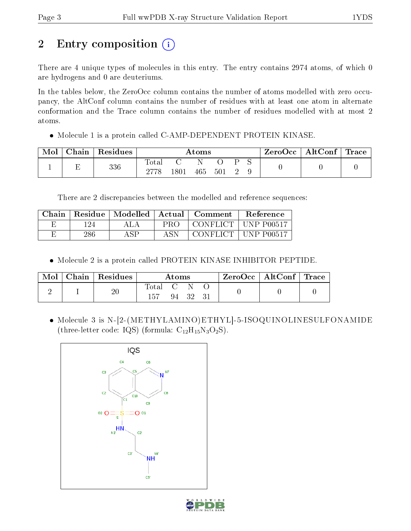# 2 Entry composition (i)

There are 4 unique types of molecules in this entry. The entry contains 2974 atoms, of which 0 are hydrogens and 0 are deuteriums.

In the tables below, the ZeroOcc column contains the number of atoms modelled with zero occupancy, the AltConf column contains the number of residues with at least one atom in alternate conformation and the Trace column contains the number of residues modelled with at most 2 atoms.

Molecule 1 is a protein called C-AMP-DEPENDENT PROTEIN KINASE.

| Mol | $\cap$ hain $\ $ | $\perp$ Residues | Atoms |          |     |     |  | ZeroOcc   AltConf   Trace |  |  |
|-----|------------------|------------------|-------|----------|-----|-----|--|---------------------------|--|--|
|     |                  | 336              | Total | $1801\,$ | 465 | 501 |  |                           |  |  |

There are 2 discrepancies between the modelled and reference sequences:

| Chain | Residue | Modelled | Actual | Comment     | <b>Reference</b>   |
|-------|---------|----------|--------|-------------|--------------------|
|       | 124     | A L A    | PRO    | CONFLICT +  | UNP P00517         |
|       | 286     | A SP     | ASN    | -CONFLICT - | $\perp$ UNP P00517 |

Molecule 2 is a protein called PROTEIN KINASE INHIBITOR PEPTIDE.

| Mol | Chain   Residues | Atoms         |  | ZeroOcc   AltConf   Trace |  |  |  |
|-----|------------------|---------------|--|---------------------------|--|--|--|
|     | $20\,$           | Total<br>-157 |  | 94 32 3                   |  |  |  |

• Molecule 3 is N-[2-(METHYLAMINO)ETHYL]-5-ISOQUINOLINESULFONAMIDE (three-letter code: IQS) (formula:  $C_{12}H_{15}N_3O_2S$ ).



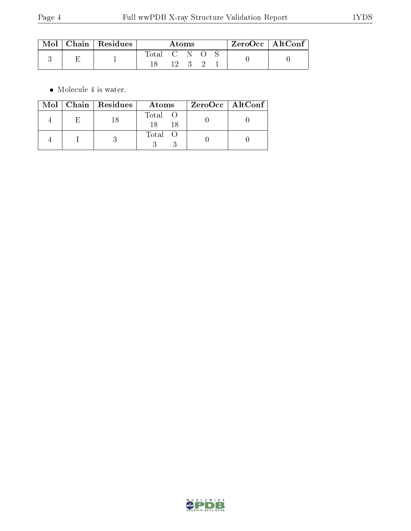| $\operatorname{Mol}$ | $\vert$ Chain $\vert$ Residues | Atoms |     |  |  |  | $ZeroOcc$   AltConf |  |
|----------------------|--------------------------------|-------|-----|--|--|--|---------------------|--|
|                      |                                | Total | י ד |  |  |  |                     |  |

 $\bullet\,$  Molecule 4 is water.

|  | $Mol$   Chain   Residues | Atoms         | ZeroOcc   AltConf |
|--|--------------------------|---------------|-------------------|
|  |                          | Total O<br>18 |                   |
|  |                          | Total O       |                   |

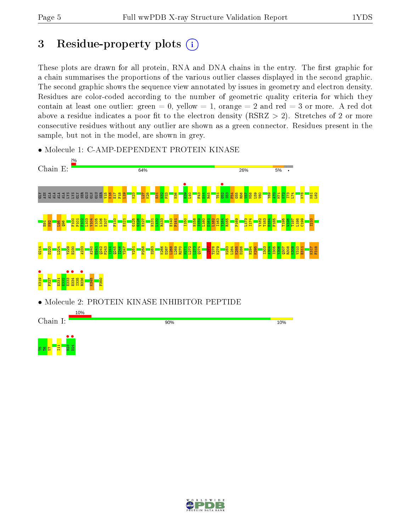# 3 Residue-property plots  $(i)$

These plots are drawn for all protein, RNA and DNA chains in the entry. The first graphic for a chain summarises the proportions of the various outlier classes displayed in the second graphic. The second graphic shows the sequence view annotated by issues in geometry and electron density. Residues are color-coded according to the number of geometric quality criteria for which they contain at least one outlier: green  $= 0$ , yellow  $= 1$ , orange  $= 2$  and red  $= 3$  or more. A red dot above a residue indicates a poor fit to the electron density (RSRZ  $> 2$ ). Stretches of 2 or more consecutive residues without any outlier are shown as a green connector. Residues present in the sample, but not in the model, are shown in grey.

• Molecule 1: C-AMP-DEPENDENT PROTEIN KINASE





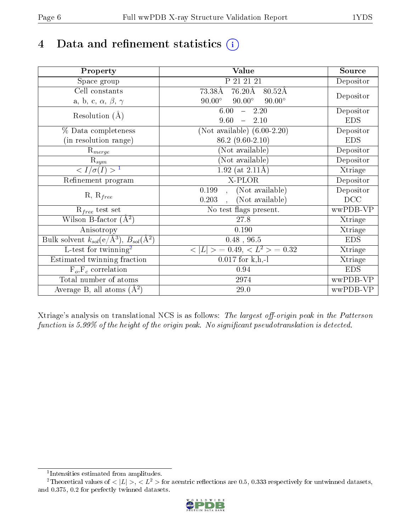# 4 Data and refinement statistics  $(i)$

| Property                                                             | Value                                            | Source     |
|----------------------------------------------------------------------|--------------------------------------------------|------------|
| Space group                                                          | P 21 21 21                                       | Depositor  |
| Cell constants                                                       | 73.38Å<br>$76.20\text{\AA}$<br>$80.52\text{\AA}$ |            |
| a, b, c, $\alpha$ , $\beta$ , $\gamma$                               | $90.00^\circ$<br>$90.00^\circ$<br>$90.00^\circ$  | Depositor  |
| Resolution $(A)$                                                     | 6.00<br>$-2.20$                                  | Depositor  |
|                                                                      | 9.60<br>2.10<br>$\equiv$                         | <b>EDS</b> |
| % Data completeness                                                  | (Not available) $(6.00-2.20)$                    | Depositor  |
| (in resolution range)                                                | 86.2 (9.60-2.10)                                 | <b>EDS</b> |
| $\mathrm{R}_{merge}$                                                 | (Not available)                                  | Depositor  |
| $\mathrm{R}_{sym}$                                                   | (Not available)                                  | Depositor  |
| $\sqrt{I/\sigma}(I) > 1$                                             | 1.92 (at $2.11\text{\AA}$ )                      | Xtriage    |
| Refinement program                                                   | X-PLOR                                           | Depositor  |
| $R, R_{free}$                                                        | (Not available)<br>0.199                         | Depositor  |
|                                                                      | (Not available)<br>0.203                         | DCC        |
| $R_{free}$ test set                                                  | No test flags present.                           | wwPDB-VP   |
| Wilson B-factor $(A^2)$                                              | 27.8                                             | Xtriage    |
| Anisotropy                                                           | 0.190                                            | Xtriage    |
| Bulk solvent $k_{sol}(e/\mathring{A}^3)$ , $B_{sol}(\mathring{A}^2)$ | $0.48$ , 96.5                                    | <b>EDS</b> |
| $\overline{L-test for }$ twinning <sup>2</sup>                       | $>$ = 0.49, < $L^2$ > = 0.32<br>< L              | Xtriage    |
| Estimated twinning fraction                                          | $0.017$ for k,h,-l                               | Xtriage    |
| $F_o, F_c$ correlation                                               | 0.94                                             | <b>EDS</b> |
| Total number of atoms                                                | 2974                                             | wwPDB-VP   |
| Average B, all atoms $(A^2)$                                         | 29.0                                             | wwPDB-VP   |

Xtriage's analysis on translational NCS is as follows: The largest off-origin peak in the Patterson function is  $5.99\%$  of the height of the origin peak. No significant pseudotranslation is detected.

<sup>&</sup>lt;sup>2</sup>Theoretical values of  $\langle |L| \rangle$ ,  $\langle L^2 \rangle$  for acentric reflections are 0.5, 0.333 respectively for untwinned datasets, and 0.375, 0.2 for perfectly twinned datasets.



<span id="page-5-1"></span><span id="page-5-0"></span><sup>1</sup> Intensities estimated from amplitudes.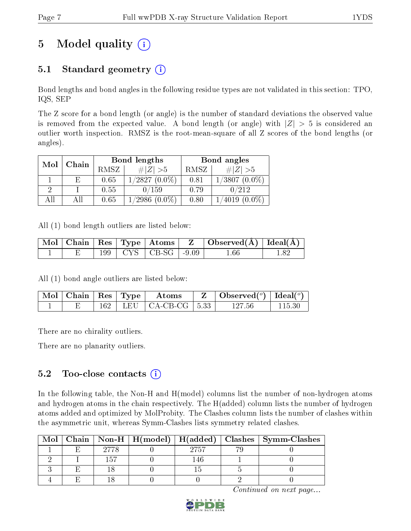# 5 Model quality  $(i)$

## 5.1 Standard geometry  $(i)$

Bond lengths and bond angles in the following residue types are not validated in this section: TPO, IQS, SEP

The Z score for a bond length (or angle) is the number of standard deviations the observed value is removed from the expected value. A bond length (or angle) with  $|Z| > 5$  is considered an outlier worth inspection. RMSZ is the root-mean-square of all Z scores of the bond lengths (or angles).

| Mol | Chain |      | Bond lengths       | Bond angles |                     |  |
|-----|-------|------|--------------------|-------------|---------------------|--|
|     |       | RMSZ | $\# Z  > 5$        | RMSZ        | # $ Z  > 5$         |  |
|     | E.    | 0.65 | $1/2827(0.0\%)$    | 0.81        | 1/3807<br>$(0.0\%)$ |  |
|     |       | 0.55 | 0/159              | 0.79        | 0/212               |  |
| All |       | 0.65 | $1/2986$ $(0.0\%)$ | 0.80        | $(0.0\%)$<br>4019   |  |

All (1) bond length outliers are listed below:

|  |  |                             | $\mid$ Mol $\mid$ Chain $\mid$ Res $\mid$ Type $\mid$ Atoms $\mid$ $\mid$ Z $\mid$ Observed(A) $\mid$ Ideal(A) $\mid$ |  |
|--|--|-----------------------------|-----------------------------------------------------------------------------------------------------------------------|--|
|  |  | $199$   CYS   CB-SG   -9.09 | 1.66                                                                                                                  |  |

All (1) bond angle outliers are listed below:

| $\mid$ Mol $\mid$ Chain $\mid$ Res $\mid$ Type $\mid$ |         | Atoms                             | $\mid$ Observed $({}^{\circ})$   Ideal $({}^{\circ})$ |  |
|-------------------------------------------------------|---------|-----------------------------------|-------------------------------------------------------|--|
|                                                       | $162-1$ | LEU $\vert$ CA-CB-CG $\vert$ 5.33 | 127 56                                                |  |

There are no chirality outliers.

There are no planarity outliers.

## $5.2$  Too-close contacts  $\overline{()}$

In the following table, the Non-H and H(model) columns list the number of non-hydrogen atoms and hydrogen atoms in the chain respectively. The H(added) column lists the number of hydrogen atoms added and optimized by MolProbity. The Clashes column lists the number of clashes within the asymmetric unit, whereas Symm-Clashes lists symmetry related clashes.

|  |  |      | Mol   Chain   Non-H   H(model)   H(added)   Clashes   Symm-Clashes |
|--|--|------|--------------------------------------------------------------------|
|  |  | 2757 |                                                                    |
|  |  |      |                                                                    |
|  |  |      |                                                                    |
|  |  |      |                                                                    |

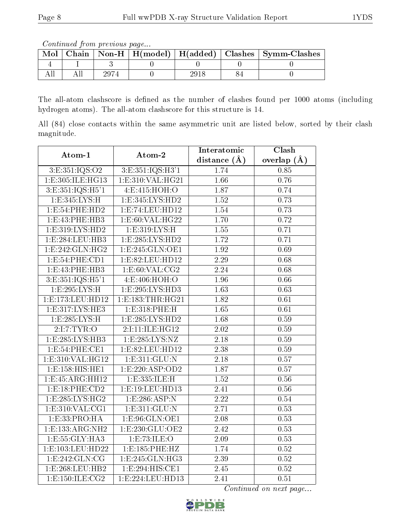Continued from previous page...

| Mol |  |  | Chain   Non-H   H(model)   H(added)   Clashes   Symm-Clashes |
|-----|--|--|--------------------------------------------------------------|
|     |  |  |                                                              |
|     |  |  |                                                              |

The all-atom clashscore is defined as the number of clashes found per 1000 atoms (including hydrogen atoms). The all-atom clashscore for this structure is 14.

All (84) close contacts within the same asymmetric unit are listed below, sorted by their clash magnitude.

| Atom-1               | Atom-2               | Interatomic       | Clash             |  |
|----------------------|----------------------|-------------------|-------------------|--|
|                      |                      | distance $(\AA)$  | overlap $(A)$     |  |
| 3:E:351:IQS:O2       | 3: E: 351: IQS: H3'1 | 1.74              | 0.85              |  |
| 1:E:305:ILE:HG13     | 1:E:310:VAL:HG21     | $\overline{1.66}$ | 0.76              |  |
| 3: E: 351: IQS: H5'1 | 4: E: 415: HOH: O    | 1.87              | 0.74              |  |
| 1: E: 345: LYS: H    | 1:E:345:LYS:HD2      | 1.52              | 0.73              |  |
| 1:E:54:PHE:HD2       | 1:E:74:LEU:HD12      | 1.54              | 0.73              |  |
| 1: E: 43: PHE: HB3   | 1: E:60: VAL:HG22    | 1.70              | 0.72              |  |
| 1:E:319:LYS:HD2      | 1:E:319:LYS:H        | 1.55              | 0.71              |  |
| 1: E: 284: LEU: HB3  | 1: E: 285: LYS: HD2  | $\overline{1.72}$ | 0.71              |  |
| 1:E:242:GLN:HG2      | 1:E:245:GLN:OE1      | 1.92              | 0.69              |  |
| 1: E:54: PHE:CD1     | 1: E: 82: LEU: HD12  | $\overline{2.29}$ | 0.68              |  |
| 1: E: 43: PHE: HB3   | 1: E:60: VAL:CG2     | $\overline{2.24}$ | 0.68              |  |
| 3: E: 351: IQS: H5'1 | 4:E:406:HOH:O        | 1.96              | 0.66              |  |
| 1:E:295:LYS:H        | 1: E: 295: LYS: HD3  | $\overline{1.63}$ | 0.63              |  |
| 1:E:173:LEU:HD12     | 1:E:183:THR:HG21     | 1.82              | 0.61              |  |
| 1: E: 317: LYS: HE3  | 1:E:318:PHE:H        | 1.65              | 0.61              |  |
| 1:E:285:LYS:H        | 1:E:285:LYS:HD2      | 1.68              | 0.59              |  |
| 2:I:7:TYR:O          | 2:I:11:ILE:HG12      | $\overline{2.02}$ | 0.59              |  |
| 1: E: 285: LYS: HB3  | 1: E: 285: LYS: NZ   | 2.18              | 0.59              |  |
| 1: E:54: PHE: CE1    | 1:E:82:LEU:HD12      | 2.38              | 0.59              |  |
| 1: E: 310: VAL:HG12  | 1: E: 311: GLU: N    | $\overline{2.18}$ | 0.57              |  |
| 1: E: 158: HIS: HE1  | 1:E:220:ASP:OD2      | 1.87              | 0.57              |  |
| 1: E: 45: ARG: HH12  | 1: E: 335: ILE:H     | $\overline{1.52}$ | 0.56              |  |
| 1:E:18:PHE:CD2       | 1:E:19:LEU:HD13      | 2.41              | $0.56\,$          |  |
| 1:E:285:LYS:HG2      | 1:E:286:ASP:N        | 2.22              | 0.54              |  |
| 1: E: 310: VAL: CG1  | 1: E:311: GLU:N      | 2.71              | 0.53              |  |
| 1:E:33:PRO:HA        | 1:E:96:GLN:OE1       | 2.08              | 0.53              |  |
| 1:E:133:ARG:NH2      | 1: E: 230: GLU: OE2  | $\overline{2.42}$ | 0.53              |  |
| 1:E:55:GLY:HA3       | 1:E:73:ILE:O         | 2.09              | 0.53              |  |
| 1:E:103:LEU:HD22     | 1:E:185:PHE:HZ       | 1.74              | 0.52              |  |
| 1:E:242:GLN:CG       | 1:E:245:GLN:HG3      | 2.39              | $0.52\,$          |  |
| 1:E:268:LEU:HB2      | 1:E:294:HIS:CE1      | 2.45              | 0.52              |  |
| 1: E: 150: ILE: CG2  | 1:E:224:LEU:HD13     | $\overline{2.41}$ | $\overline{0.51}$ |  |

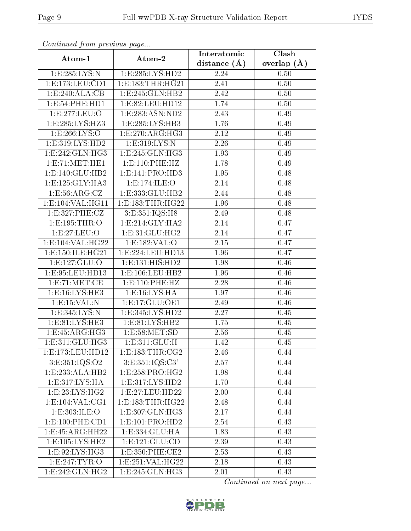| Comunaca jiom previous page      |                                 | Interatomic    | Clash         |  |
|----------------------------------|---------------------------------|----------------|---------------|--|
| Atom-1                           | Atom-2                          | distance $(A)$ | overlap $(A)$ |  |
| 1:E:285:LYS:N                    | 1:E:285:LYS:HD2                 | 2.24           | 0.50          |  |
| 1: E: 173: LEU: CD1              | 1:E:183:THR:HG21                | 2.41           | 0.50          |  |
| 1:E:240:ALA:CB                   | 1:E:245:GLN:HB2                 | 2.42           | 0.50          |  |
| 1:E:54:PHE:HD1                   | 1:E:82:LEU:HD12                 | 1.74           | 0.50          |  |
| 1:E:277:LEU:O                    | 1:E:283:ASN:ND2                 | 2.43           | 0.49          |  |
| 1: E: 285: LYS: HZ3              | 1:E:285:LYS:HB3                 | 1.76           | 0.49          |  |
| 1:E:266:LYS:O                    | 1:E:270:ARG:HG3                 | 2.12           | 0.49          |  |
| 1: E: 319: LYS: HD2              | 1: E:319: LYS:N                 | 2.26           | 0.49          |  |
| 1:E:242:GLN:HG3                  | 1:E:245:GLN:HG3                 | 1.93           | 0.49          |  |
| 1:E:71:MET:HE1                   | 1: E: 110: PHE: HZ              | 1.78           | 0.49          |  |
| 1:E:140:GLU:HB2                  | 1:E:141:PRO:HD3                 | 1.95           | 0.48          |  |
| 1:E:125:GLY:HA3                  | 1:E:174:ILE:O                   | 2.14           | 0.48          |  |
| 1:E:56:ARG:CZ                    | 1:E:333:GLU:HB2                 | 2.44           | 0.48          |  |
| 1:E:104:VAL:HG11                 | 1: E: 183: THR: HG22            | 1.96           | 0.48          |  |
| 1:E:327:PHE:CZ                   | 3:E:351:IQS:H8                  | 2.49           | 0.48          |  |
| 1: E: 195: THR: O                | 1: E: 214: GLY: HA2             | 2.14           | 0.47          |  |
| 1:E:27:EU:O                      | 1:E:31:GLU:HG2                  | 2.14           | 0.47          |  |
| 1:E:104:VAL:HG22                 | 1:E:182:VAL:O                   | 2.15           | 0.47          |  |
| 1:E:150:ILE:HG21                 | 1:E:224:LEU:HD13                | 1.96           | 0.47          |  |
| 1: E: 127: GLU: O                | 1:E:131:HIS:HD2                 | 1.98           | 0.46          |  |
| 1:E:95:LEU:HD13                  | 1: E: 106: LEU: HB2             | 1.96           | 0.46          |  |
| 1:E:71:MET:CE                    | 1: E: 110: PHE: HZ              | 2.28           | 0.46          |  |
| 1: E:16: LYS: HE3                | 1: E: 16: LYS: HA               | 1.97           | 0.46          |  |
| 1:E:15:VAL:N                     | 1: E: 17: GLU: OE1              | 2.49           | 0.46          |  |
| 1:E:345:LYS:N                    | 1:E:345:LYS:HD2                 | 2.27           | 0.45          |  |
| 1: E: 81: LYS: HE3               | 1:E:81:LYS:HB2                  | 1.75           | 0.45          |  |
| 1:E:45:ARG:HG3                   | 1: E:58: MET:SD                 | 2.56           | 0.45          |  |
| 1:E:311:GLU:HG3                  | 1:E:311:GLU:H                   | 1.42           | 0.45          |  |
| 1:E:173:LEU:HD12                 | 1:E:183:THR:CG2                 | 2.46           | 0.44          |  |
| 3: E: 351: IQS: O2               | 3:E:351:IQS:C3'                 | 2.57           | 0.44          |  |
| 1:E:233:ALA:HB2                  | 1:E:258:PRO:HG2                 | 1.98           | 0.44          |  |
| 1:E:317:LYS:HA                   | 1:E:317:LYS:HD2                 | 1.70           | 0.44          |  |
| 1: E: 23: L <sub>Y</sub> S: HG2  | 1:E:27:LEU:HD22                 | 2.00           | 0.44          |  |
| 1: E: 104: VAL: CG1              | 1:E:183:THR:HG22                | 2.48           | 0.44          |  |
| 1:E:303:ILE:O                    | 1:E:307:GLN:HG3                 | 2.17           | 0.44          |  |
| 1: E:100: PHE: CD1               | 1: E: 101: PRO: HD2             | 2.54           | 0.43          |  |
| 1:E:45:ARG:HH22                  | 1:E:334:GLU:HA                  | 1.83           | 0.43          |  |
| $1: E: 105: LYS: \overline{HE2}$ | $1: E: 121: GLU: \overline{CD}$ | 2.39           | 0.43          |  |
| 1: E: 92: LYS: HG3               | 1: E: 350: PHE: CE2             | 2.53           | 0.43          |  |
| 1:E:247:TYR:O                    | 1: E: 251: VAL:HG22             | 2.18           | 0.43          |  |
| 1:E:242:GLN:HG2                  | 1:E:245:GLN:HG3                 | 2.01           | 0.43          |  |

Continued from previous page.

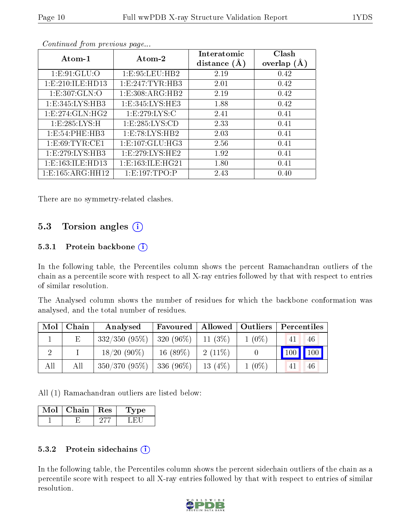| Atom-1               | Atom-2               | Interatomic<br>distance $(A)$ | Clash<br>overlap $(A)$ |
|----------------------|----------------------|-------------------------------|------------------------|
| 1: E: 91: GLU: O     | 1:E:95:LEU:HB2       | 2.19                          | 0.42                   |
| 1: E: 210: ILE: HD13 | 1:E:247:TYR:HB3      | 2.01                          | 0.42                   |
| 1: E: 307: GLN: O    | 1: E: 308: ARG: HB2  | 2.19                          | 0.42                   |
| 1: E: 345: LYS: HB3  | 1: E: 345: LYS: HE3  | 1.88                          | 0.42                   |
| 1: E: 274: GLN: HG2  | 1:E:279:LYS:C        | 2.41                          | 0.41                   |
| 1: E: 285: LYS: H    | 1: E: 285: LYS: CD   | 2.33                          | 0.41                   |
| 1:E:54:PHE:HB3       | 1:E:78:LYS:HB2       | 2.03                          | 0.41                   |
| 1: E:69: TYR: CE1    | 1: E: 107: GLU: HG3  | 2.56                          | 0.41                   |
| 1:E:279:LYS:HB3      | 1: E: 279: LYS: HE2  | 1.92                          | 0.41                   |
| 1: E: 163: ILE: HD13 | 1: E: 163: ILE: HG21 | 1.80                          | 0.41                   |
| 1:E:165:ARG:HH12     | 1:E:197:TPO:P        | 2.43                          | 0.40                   |

Continued from previous page...

There are no symmetry-related clashes.

### 5.3 Torsion angles (i)

#### 5.3.1 Protein backbone  $(i)$

In the following table, the Percentiles column shows the percent Ramachandran outliers of the chain as a percentile score with respect to all X-ray entries followed by that with respect to entries of similar resolution.

The Analysed column shows the number of residues for which the backbone conformation was analysed, and the total number of residues.

| Mol | Chain | Analysed                      | Favoured     | Allowed   Outliers |          | Percentiles |    |
|-----|-------|-------------------------------|--------------|--------------------|----------|-------------|----|
|     | Ε     | $332/350(95\%)$               | $ 320(96\%)$ | $11(3\%)$          | $1(0\%)$ | 41          | 46 |
|     |       | $18/20(90\%)$                 | $16(89\%)$   | $-2(11\%)$         |          | 100 100     |    |
| All | All   | $350/370$ (95\%)   336 (96\%) |              | 13 $(4%)$          | $1(0\%)$ |             | 46 |

All (1) Ramachandran outliers are listed below:

| Chain | ∣ Res | Type |
|-------|-------|------|
|       |       |      |

#### 5.3.2 Protein sidechains  $\overline{1}$

In the following table, the Percentiles column shows the percent sidechain outliers of the chain as a percentile score with respect to all X-ray entries followed by that with respect to entries of similar resolution.

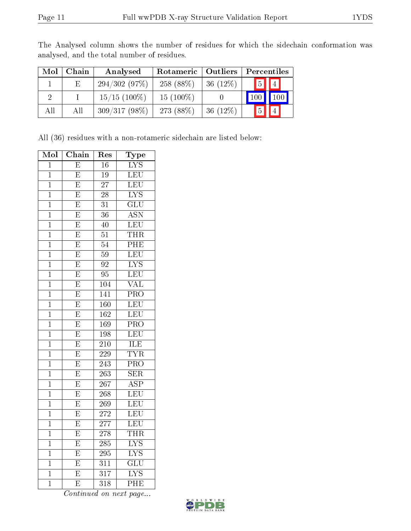| Mol | Chain | Analysed        | Rotameric   Outliers |             | Percentiles |                 |
|-----|-------|-----------------|----------------------|-------------|-------------|-----------------|
|     | E.    | 294/302(97%)    | 258 (88\%)           | $36(12\%)$  | 5           | $\vert 4 \vert$ |
|     |       | $15/15$ (100\%) | $15(100\%)$          |             |             | 100             |
| All | AII   | $309/317(98\%)$ | 273 (88\%)           | 36 $(12\%)$ |             |                 |

The Analysed column shows the number of residues for which the sidechain conformation was analysed, and the total number of residues.

All (36) residues with a non-rotameric sidechain are listed below:

| Mol            | Chain                   | ${\mathop{\mathrm{Res}}\nolimits}$ | Type                      |
|----------------|-------------------------|------------------------------------|---------------------------|
| $\overline{1}$ | $\overline{\mathrm{E}}$ | 16                                 | $\overline{\text{LYS}}$   |
| $\overline{1}$ | $\overline{\mathrm{E}}$ | $\overline{19}$                    | LEU                       |
| $\overline{1}$ | $\overline{\mathrm{E}}$ | $\overline{27}$                    | LEU                       |
| $\overline{1}$ | $\overline{\mathrm{E}}$ | $\overline{28}$                    | $\overline{\mathrm{LYS}}$ |
| $\mathbf{1}$   | $\overline{\mathrm{E}}$ | 31                                 | $\overline{\text{GLU}}$   |
| $\overline{1}$ | $\overline{\mathrm{E}}$ | $\overline{36}$                    | $\overline{\mathrm{ASN}}$ |
| $\overline{1}$ | $\overline{\mathrm{E}}$ | $\overline{40}$                    | LEU                       |
| $\overline{1}$ | $\overline{\mathrm{E}}$ | $\overline{51}$                    | $\overline{\text{THR}}$   |
| $\overline{1}$ | $\overline{\mathrm{E}}$ | $\overline{54}$                    | PHE                       |
| $\mathbf{1}$   | $\overline{\mathrm{E}}$ | $\overline{59}$                    | LEU                       |
| $\mathbf 1$    | $\overline{\mathrm{E}}$ | $\overline{92}$                    | $\overline{\text{LYS}}$   |
| $\overline{1}$ | $\overline{\mathrm{E}}$ | 95                                 | LEU                       |
| $\overline{1}$ | $\overline{\mathrm{E}}$ | 104                                | $\overline{\text{VAL}}$   |
| $\overline{1}$ | $\overline{\mathrm{E}}$ | $\overline{141}$                   | PRO                       |
| $\mathbf{1}$   | $\overline{\mathrm{E}}$ | 160                                | LEU                       |
| $\overline{1}$ | $\overline{\mathrm{E}}$ | $\overline{162}$                   | LEU                       |
| $\overline{1}$ | $\overline{\mathrm{E}}$ | 169                                | $\overline{\text{PRO}}$   |
| $\overline{1}$ | $\overline{\mathrm{E}}$ | $\overline{198}$                   | LEU                       |
| $\mathbf 1$    | $\overline{\mathrm{E}}$ | 210                                | ILE                       |
| $\mathbf 1$    | $\overline{\mathrm{E}}$ | 229                                | <b>TYR</b>                |
| $\overline{1}$ | $\overline{\mathrm{E}}$ | $\overline{243}$                   | $\overline{\text{PRO}}$   |
| $\overline{1}$ | $\overline{\mathrm{E}}$ | $\overline{263}$                   | $\overline{\text{SER}}$   |
| $\overline{1}$ | $\overline{\mathrm{E}}$ | $\overline{267}$                   | $\overline{\text{ASP}}$   |
| $\overline{1}$ | $\overline{\mathrm{E}}$ | 268                                | LEU                       |
| $\mathbf{1}$   | $\overline{\mathrm{E}}$ | 269                                | LEU                       |
| $\mathbf 1$    | $\overline{\mathrm{E}}$ | 272                                | LEU                       |
| $\overline{1}$ | $\overline{\mathrm{E}}$ | $\overline{277}$                   | LEU                       |
| $\overline{1}$ | $\overline{\mathrm{E}}$ | $\overline{278}$                   | $\overline{\text{THR}}$   |
| $\mathbf 1$    | $\overline{\mathrm{E}}$ | 285                                | $\overline{\text{LYS}}$   |
| $\mathbf{1}$   | $\overline{\mathrm{E}}$ | 295                                | $\overline{\text{LYS}}$   |
| $\mathbf{1}$   | $\overline{\mathrm{E}}$ | $\overline{311}$                   | $\overline{\mathrm{GLU}}$ |
| $\overline{1}$ | $\overline{\mathrm{E}}$ | $\overline{317}$                   | $\overline{\mathrm{LYS}}$ |
| $\overline{1}$ | $\overline{\mathrm{E}}$ | $\overline{318}$                   | $\overline{\mathrm{PHE}}$ |

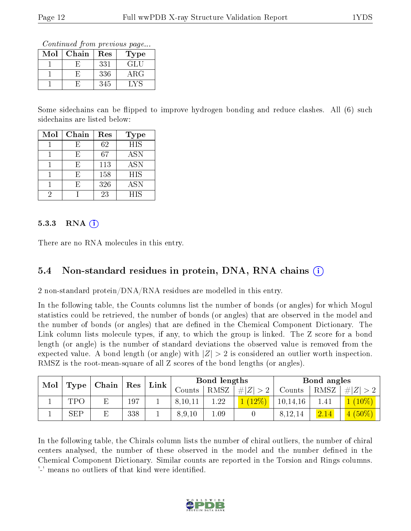Continued from previous page...

| Mol | Chain | Res | Type       |
|-----|-------|-----|------------|
|     |       | 331 | GLU        |
|     |       | 336 | $\rm{ARG}$ |
|     |       | 345 |            |

Some sidechains can be flipped to improve hydrogen bonding and reduce clashes. All (6) such sidechains are listed below:

| Mol | Chain | Res | Type       |
|-----|-------|-----|------------|
|     | F)    | 62  | <b>HIS</b> |
|     | E,    | 67  | <b>ASN</b> |
|     | F,    | 113 | <b>ASN</b> |
|     | F,    | 158 | HIS        |
|     | F,    | 326 | <b>ASN</b> |
| 2   |       | 23  | <b>HIS</b> |

#### 5.3.3 RNA  $(i)$

There are no RNA molecules in this entry.

### 5.4 Non-standard residues in protein, DNA, RNA chains (i)

2 non-standard protein/DNA/RNA residues are modelled in this entry.

In the following table, the Counts columns list the number of bonds (or angles) for which Mogul statistics could be retrieved, the number of bonds (or angles) that are observed in the model and the number of bonds (or angles) that are defined in the Chemical Component Dictionary. The Link column lists molecule types, if any, to which the group is linked. The Z score for a bond length (or angle) is the number of standard deviations the observed value is removed from the expected value. A bond length (or angle) with  $|Z| > 2$  is considered an outlier worth inspection. RMSZ is the root-mean-square of all Z scores of the bond lengths (or angles).

| Mol<br>Chain<br>Type | $\operatorname{Res}$ | $\lfloor$ Link $\rfloor$ |        | Bond lengths |      | Bond angles |            |      |                 |
|----------------------|----------------------|--------------------------|--------|--------------|------|-------------|------------|------|-----------------|
|                      |                      |                          | Counts | <b>RMSZ</b>  | H Z  | Counts      | RMSZ       | # Z  |                 |
|                      | TPO                  | 197                      |        | 8,10,11      | 1.22 |             | 10, 14, 16 |      | $(10\%)$        |
|                      | <b>SEP</b>           | 338                      |        | 8,9,10       | 1.09 |             | 8,12,14    | 2.14 | $(50\%)$<br>4 ( |

In the following table, the Chirals column lists the number of chiral outliers, the number of chiral centers analysed, the number of these observed in the model and the number defined in the Chemical Component Dictionary. Similar counts are reported in the Torsion and Rings columns. '-' means no outliers of that kind were identified.

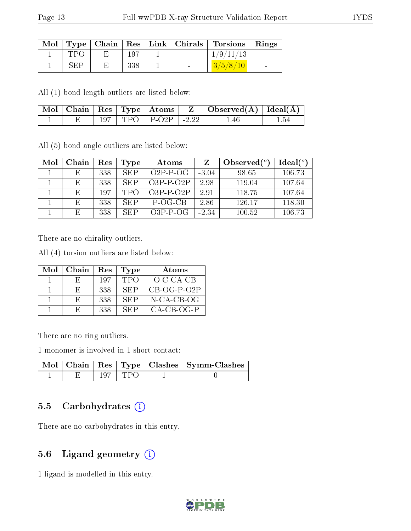| Mol |      |         | $\top$ Type   Chain   Res   Link   Chirals | Torsions Rings |        |
|-----|------|---------|--------------------------------------------|----------------|--------|
|     |      | $197\,$ | $\sim$                                     | $^\prime9$ /   |        |
|     | √н∶Р | 338     | $\sim$                                     |                | $\sim$ |

All (1) bond length outliers are listed below:

|  |  | Mol   Chain   Res   Type   Atoms |                    | $\mid$ Observed( $\AA$ ) $\mid$ Ideal( $\AA$ ) $\mid$ |  |
|--|--|----------------------------------|--------------------|-------------------------------------------------------|--|
|  |  | TPO   P-O2P                      | $\degree$ 1 - 2.22 | 1 46                                                  |  |

All (5) bond angle outliers are listed below:

| Mol | Chain | Res | Type       | Atoms       |         | Observed $\binom{o}{c}$ | Ideal $(°)$ |
|-----|-------|-----|------------|-------------|---------|-------------------------|-------------|
|     | E.    | 338 | <b>SEP</b> | $O2P-P-OG$  | $-3.04$ | 98.65                   | 106.73      |
|     | E     | 338 | <b>SEP</b> | $O3P-P-O2P$ | 2.98    | 119.04                  | 107.64      |
|     | E,    | 197 | <b>TPO</b> | $O3P-P-O2P$ | 291     | 118.75                  | 107.64      |
|     | E,    | 338 | <b>SEP</b> | $P-OG-CB$   | 2.86    | 126.17                  | 118.30      |
|     | E     | 338 | <b>SEP</b> | $O3P-P-OG$  | $-2.34$ | 100.52                  | 106.73      |

There are no chirality outliers.

All (4) torsion outliers are listed below:

| Mol | Chain        | Res | <b>Type</b> | Atoms         |
|-----|--------------|-----|-------------|---------------|
|     | н.           | 197 | <b>TPO</b>  | O-C-CA-CB     |
|     | н.           | 338 | SEP         | $CB-OG-P-O2P$ |
|     | $H^{\prime}$ | 338 | <b>SEP</b>  | N-CA-CB-OG    |
|     | н.           | 338 | <b>SEP</b>  | $CA-CB-OG-P$  |

There are no ring outliers.

1 monomer is involved in 1 short contact:

|  |           | Mol   Chain   Res   Type   Clashes   Symm-Clashes |
|--|-----------|---------------------------------------------------|
|  | 197   TPO |                                                   |

### 5.5 Carbohydrates  $(i)$

There are no carbohydrates in this entry.

### 5.6 Ligand geometry (i)

1 ligand is modelled in this entry.

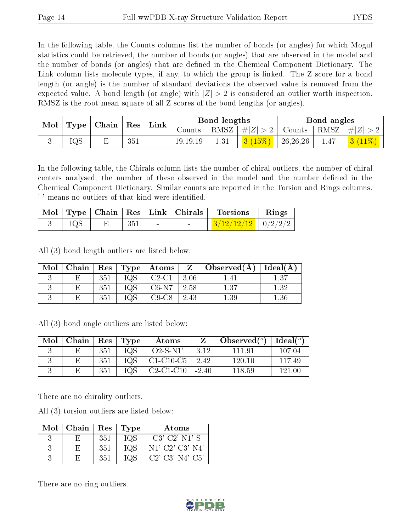In the following table, the Counts columns list the number of bonds (or angles) for which Mogul statistics could be retrieved, the number of bonds (or angles) that are observed in the model and the number of bonds (or angles) that are dened in the Chemical Component Dictionary. The Link column lists molecule types, if any, to which the group is linked. The Z score for a bond length (or angle) is the number of standard deviations the observed value is removed from the expected value. A bond length (or angle) with  $|Z| > 2$  is considered an outlier worth inspection. RMSZ is the root-mean-square of all Z scores of the bond lengths (or angles).

| Mol<br>Type | Chain | $\pm$ Res $^+$ | Link |        | Bond lengths |          | Bond angles                  |          |         |  |
|-------------|-------|----------------|------|--------|--------------|----------|------------------------------|----------|---------|--|
|             |       |                |      | Counts | RMSZ         | $\# Z $  | Counts                       | RMSZ     | $\ E\ $ |  |
|             | IQS   | H              | 351  |        | 19, 19, 19   | $1.31\,$ | $\left 3\right\rangle(15\%)$ | 26,26,26 | 1.47    |  |

In the following table, the Chirals column lists the number of chiral outliers, the number of chiral centers analysed, the number of these observed in the model and the number defined in the Chemical Component Dictionary. Similar counts are reported in the Torsion and Rings columns. '-' means no outliers of that kind were identified.

|  |     |        | Mol   Type   Chain   Res   Link   Chirals | Torsions               | Rings |
|--|-----|--------|-------------------------------------------|------------------------|-------|
|  | 351 | $\sim$ | <b>Contract Contract State</b>            | $3/12/12/12$   0/2/2/2 |       |

All (3) bond length outliers are listed below:

| Mol | Chain |     |     | $\mid$ Res $\mid$ Type $\mid$ Atoms | Z    | $\top$ Observed( $\AA$ ) | Ideal(A) |
|-----|-------|-----|-----|-------------------------------------|------|--------------------------|----------|
|     |       | 351 | IQS | $C2-C1$                             | 3.06 |                          | 1.37     |
|     |       |     | IQS | $C6-N7$                             | 2.58 | 1 27                     | 1 २१     |
|     |       | 351 | IQS | C9-C8                               | 2.43 | 1.39                     |          |

All (3) bond angle outliers are listed below:

| Mol | Chain | $\parallel$ Res | Type | Atoms       |         | Observed $(^\circ)$ | Ideal $(°)$ |
|-----|-------|-----------------|------|-------------|---------|---------------------|-------------|
|     |       | 351             | IQS  | $O2-S-N1'$  | 3.12    | 111.91              | 107.04      |
|     |       | 351             | IQS  | $C1-C10-C5$ | 2.42    | 120.10              | 117.49      |
|     |       | 351             | IQS  | $C2-C1-C10$ | $-2.40$ | 118.59              | 121.00      |

There are no chirality outliers.

All (3) torsion outliers are listed below:

| Mol | Chain | Res | Type | Atoms              |
|-----|-------|-----|------|--------------------|
|     | н.    | 351 | 1QS  | $C3'-C2'-N1'-S$    |
|     |       | 351 | IQS  | $N1'-C2'-C3'-N4'$  |
|     |       | 351 | IQS  | $C2'$ -C3'-N4'-C5' |

There are no ring outliers.

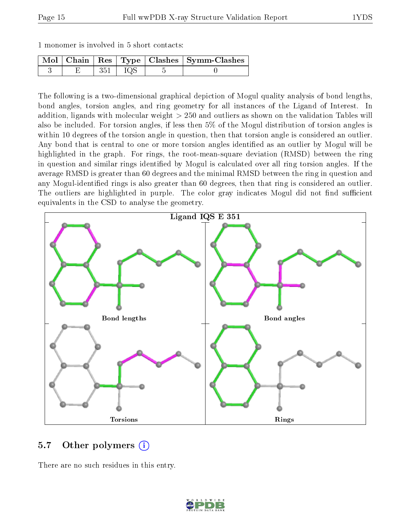|  |  |  |  |  |  |  | 1 monomer is involved in 5 short contacts: |  |
|--|--|--|--|--|--|--|--------------------------------------------|--|
|--|--|--|--|--|--|--|--------------------------------------------|--|

|  |       | Mol   Chain   Res   Type   Clashes   Symm-Clashes |
|--|-------|---------------------------------------------------|
|  | - 105 |                                                   |

The following is a two-dimensional graphical depiction of Mogul quality analysis of bond lengths, bond angles, torsion angles, and ring geometry for all instances of the Ligand of Interest. In addition, ligands with molecular weight > 250 and outliers as shown on the validation Tables will also be included. For torsion angles, if less then 5% of the Mogul distribution of torsion angles is within 10 degrees of the torsion angle in question, then that torsion angle is considered an outlier. Any bond that is central to one or more torsion angles identified as an outlier by Mogul will be highlighted in the graph. For rings, the root-mean-square deviation (RMSD) between the ring in question and similar rings identified by Mogul is calculated over all ring torsion angles. If the average RMSD is greater than 60 degrees and the minimal RMSD between the ring in question and any Mogul-identied rings is also greater than 60 degrees, then that ring is considered an outlier. The outliers are highlighted in purple. The color gray indicates Mogul did not find sufficient equivalents in the CSD to analyse the geometry.



### 5.7 [O](https://www.wwpdb.org/validation/2017/XrayValidationReportHelp#nonstandard_residues_and_ligands)ther polymers  $(i)$

There are no such residues in this entry.

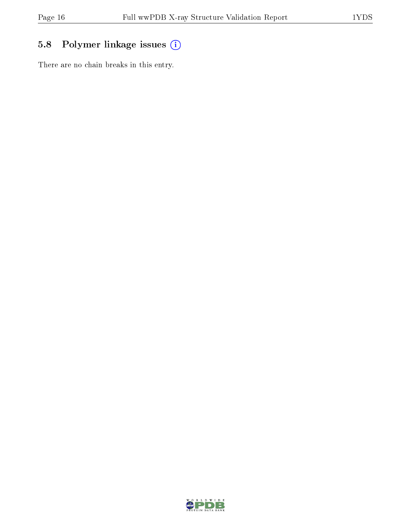## 5.8 Polymer linkage issues (i)

There are no chain breaks in this entry.

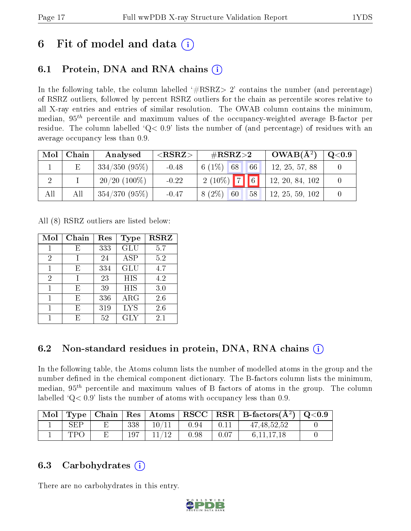# 6 Fit of model and data  $\left( \cdot \right)$

## 6.1 Protein, DNA and RNA chains (i)

In the following table, the column labelled  $#RSRZ>2'$  contains the number (and percentage) of RSRZ outliers, followed by percent RSRZ outliers for the chain as percentile scores relative to all X-ray entries and entries of similar resolution. The OWAB column contains the minimum, median,  $95<sup>th</sup>$  percentile and maximum values of the occupancy-weighted average B-factor per residue. The column labelled  $Q< 0.9$  lists the number of (and percentage) of residues with an average occupancy less than 0.9.

| Mol | Chain | Analysed        | ${ <\hspace{-1.5pt}{\mathrm{RSRZ}} \hspace{-1.5pt}>}$ | $\#\text{RSRZ}{>}2$ | $OWAB(A^2)$     | $\rm{Q}\textcolor{black}{<}0.9$ $\mid$ |
|-----|-------|-----------------|-------------------------------------------------------|---------------------|-----------------|----------------------------------------|
|     |       | $334/350(95\%)$ | $-0.48$                                               | $6(1\%)$ 68<br>66   | 12, 25, 57, 88  |                                        |
|     |       | $20/20$ (100\%) | $-0.22$                                               | $2(10\%)$ 7 6       | 12, 20, 84, 102 |                                        |
| All | All   | 354/370(95%)    | $-0.47$                                               | $8(2\%)$ 60<br>58   | 12, 25, 59, 102 |                                        |

All (8) RSRZ outliers are listed below:

| Mol            | Chain | Res | Type       | <b>RSRZ</b> |
|----------------|-------|-----|------------|-------------|
| 1              | E     | 333 | GLU        | 5.7         |
| 2              |       | 24  | <b>ASP</b> | 5.2         |
| 1              | F,    | 334 | GLU        | 4.7         |
| $\overline{2}$ |       | 23  | HIS        | 4.2         |
| 1              | F.    | 39  | HIS        | 3.0         |
| 1              | F,    | 336 | $\rm{ARG}$ | 2.6         |
|                | F,    | 319 | <b>LYS</b> | 2.6         |
|                | F.    | 52  | <b>GLY</b> | $2.1\,$     |

## 6.2 Non-standard residues in protein, DNA, RNA chains (i)

In the following table, the Atoms column lists the number of modelled atoms in the group and the number defined in the chemical component dictionary. The B-factors column lists the minimum, median,  $95<sup>th</sup>$  percentile and maximum values of B factors of atoms in the group. The column labelled  $Q< 0.9$ ' lists the number of atoms with occupancy less than 0.9.

| Mol |     |     |       |      |      | Type   Chain   Res   Atoms   RSCC   RSR   B-factors $(\AA^2)$   Q<0.9 |  |
|-----|-----|-----|-------|------|------|-----------------------------------------------------------------------|--|
|     | SEP | 338 | 10/11 | 0.94 | 0.11 | 47, 48, 52, 52                                                        |  |
|     | TPC | 197 | 11/12 | 0.98 | 0.07 | 6, 11, 17, 18                                                         |  |

### 6.3 Carbohydrates (i)

There are no carbohydrates in this entry.